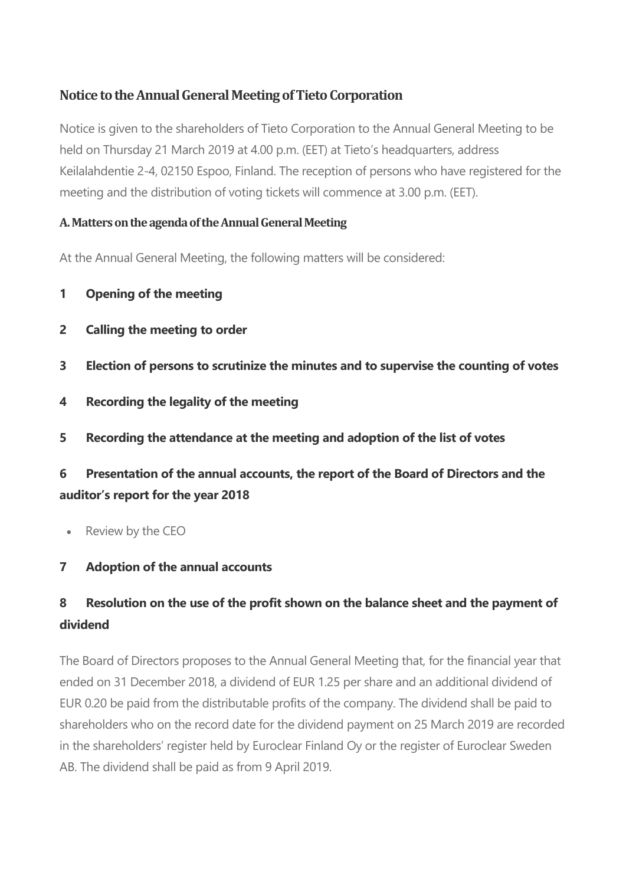# **Notice to the Annual General Meeting of Tieto Corporation**

Notice is given to the shareholders of Tieto Corporation to the Annual General Meeting to be held on Thursday 21 March 2019 at 4.00 p.m. (EET) at Tieto's headquarters, address Keilalahdentie 2-4, 02150 Espoo, Finland. The reception of persons who have registered for the meeting and the distribution of voting tickets will commence at 3.00 p.m. (EET).

### **A. Matters on the agenda of the Annual General Meeting**

At the Annual General Meeting, the following matters will be considered:

- **1 Opening of the meeting**
- **2 Calling the meeting to order**
- **3 Election of persons to scrutinize the minutes and to supervise the counting of votes**
- **4 Recording the legality of the meeting**
- **5 Recording the attendance at the meeting and adoption of the list of votes**

# **6 Presentation of the annual accounts, the report of the Board of Directors and the auditor's report for the year 2018**

• Review by the CEO

## **7 Adoption of the annual accounts**

# **8 Resolution on the use of the profit shown on the balance sheet and the payment of dividend**

The Board of Directors proposes to the Annual General Meeting that, for the financial year that ended on 31 December 2018, a dividend of EUR 1.25 per share and an additional dividend of EUR 0.20 be paid from the distributable profits of the company. The dividend shall be paid to shareholders who on the record date for the dividend payment on 25 March 2019 are recorded in the shareholders' register held by Euroclear Finland Oy or the register of Euroclear Sweden AB. The dividend shall be paid as from 9 April 2019.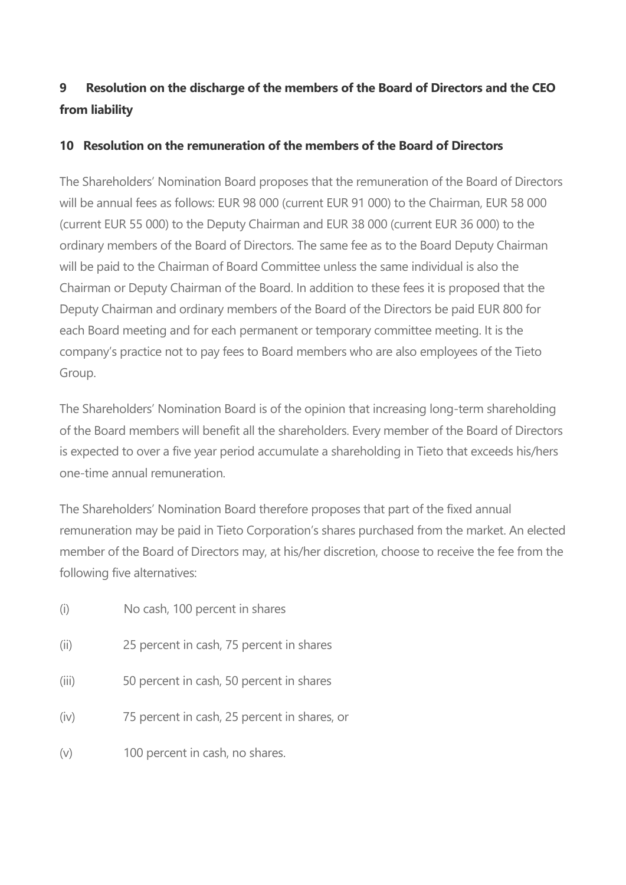# **9 Resolution on the discharge of the members of the Board of Directors and the CEO from liability**

### **10 Resolution on the remuneration of the members of the Board of Directors**

The Shareholders' Nomination Board proposes that the remuneration of the Board of Directors will be annual fees as follows: EUR 98 000 (current EUR 91 000) to the Chairman, EUR 58 000 (current EUR 55 000) to the Deputy Chairman and EUR 38 000 (current EUR 36 000) to the ordinary members of the Board of Directors. The same fee as to the Board Deputy Chairman will be paid to the Chairman of Board Committee unless the same individual is also the Chairman or Deputy Chairman of the Board. In addition to these fees it is proposed that the Deputy Chairman and ordinary members of the Board of the Directors be paid EUR 800 for each Board meeting and for each permanent or temporary committee meeting. It is the company's practice not to pay fees to Board members who are also employees of the Tieto Group.

The Shareholders' Nomination Board is of the opinion that increasing long-term shareholding of the Board members will benefit all the shareholders. Every member of the Board of Directors is expected to over a five year period accumulate a shareholding in Tieto that exceeds his/hers one-time annual remuneration.

The Shareholders' Nomination Board therefore proposes that part of the fixed annual remuneration may be paid in Tieto Corporation's shares purchased from the market. An elected member of the Board of Directors may, at his/her discretion, choose to receive the fee from the following five alternatives:

- (i) No cash, 100 percent in shares
- (ii) 25 percent in cash, 75 percent in shares
- (iii) 50 percent in cash, 50 percent in shares
- (iv) 75 percent in cash, 25 percent in shares, or
- (v) 100 percent in cash, no shares.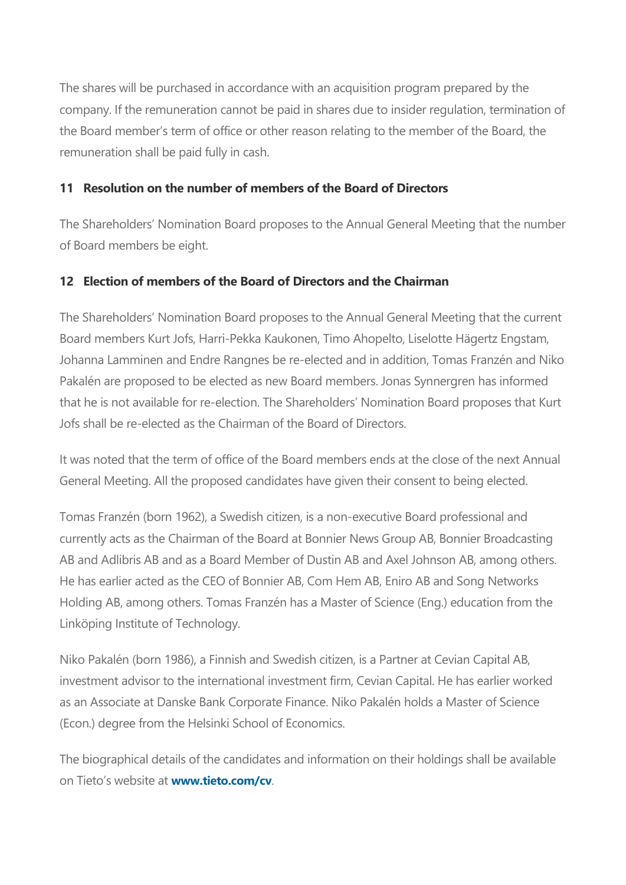The shares will be purchased in accordance with an acquisition program prepared by the company. If the remuneration cannot be paid in shares due to insider regulation, termination of the Board member's term of office or other reason relating to the member of the Board, the remuneration shall be paid fully in cash.

## **11 Resolution on the number of members of the Board of Directors**

The Shareholders' Nomination Board proposes to the Annual General Meeting that the number of Board members be eight.

### **12 Election of members of the Board of Directors and the Chairman**

The Shareholders' Nomination Board proposes to the Annual General Meeting that the current Board members Kurt Jofs, Harri-Pekka Kaukonen, Timo Ahopelto, Liselotte Hägertz Engstam, Johanna Lamminen and Endre Rangnes be re-elected and in addition, Tomas Franzén and Niko Pakalén are proposed to be elected as new Board members. Jonas Synnergren has informed that he is not available for re-election. The Shareholders' Nomination Board proposes that Kurt Jofs shall be re-elected as the Chairman of the Board of Directors.

It was noted that the term of office of the Board members ends at the close of the next Annual General Meeting. All the proposed candidates have given their consent to being elected.

Tomas Franzén (born 1962), a Swedish citizen, is a non-executive Board professional and currently acts as the Chairman of the Board at Bonnier News Group AB, Bonnier Broadcasting AB and Adlibris AB and as a Board Member of Dustin AB and Axel Johnson AB, among others. He has earlier acted as the CEO of Bonnier AB, Com Hem AB, Eniro AB and Song Networks Holding AB, among others. Tomas Franzén has a Master of Science (Eng.) education from the Linköping Institute of Technology.

Niko Pakalén (born 1986), a Finnish and Swedish citizen, is a Partner at Cevian Capital AB, investment advisor to the international investment firm, Cevian Capital. He has earlier worked as an Associate at Danske Bank Corporate Finance. Niko Pakalén holds a Master of Science (Econ.) degree from the Helsinki School of Economics.

The biographical details of the candidates and information on their holdings shall be available on Tieto's website at **[www.tieto.com/cv](https://www.tieto.com/en/investor-relations/governance/board-of-directors/)**.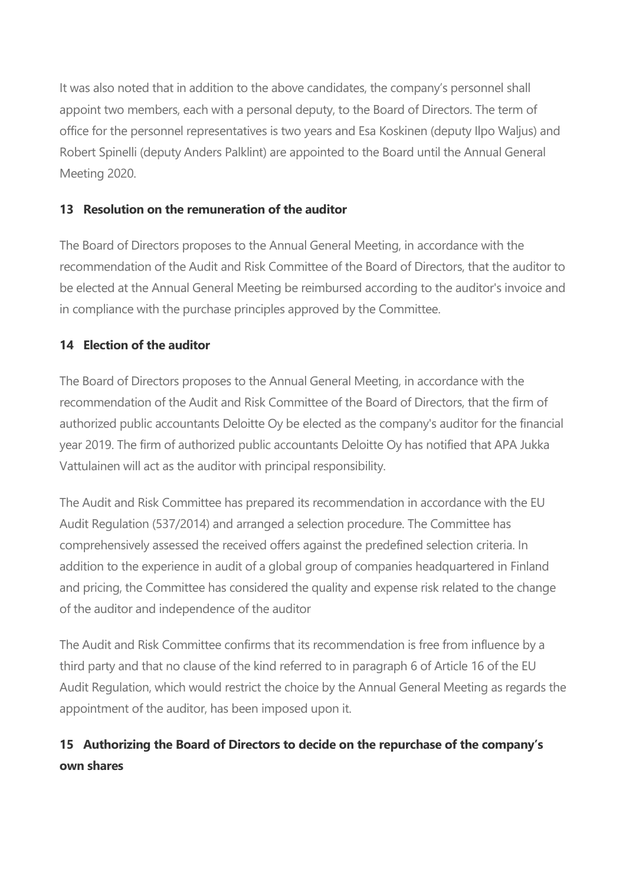It was also noted that in addition to the above candidates, the company's personnel shall appoint two members, each with a personal deputy, to the Board of Directors. The term of office for the personnel representatives is two years and Esa Koskinen (deputy Ilpo Waljus) and Robert Spinelli (deputy Anders Palklint) are appointed to the Board until the Annual General Meeting 2020.

## **13 Resolution on the remuneration of the auditor**

The Board of Directors proposes to the Annual General Meeting, in accordance with the recommendation of the Audit and Risk Committee of the Board of Directors, that the auditor to be elected at the Annual General Meeting be reimbursed according to the auditor's invoice and in compliance with the purchase principles approved by the Committee.

## **14 Election of the auditor**

The Board of Directors proposes to the Annual General Meeting, in accordance with the recommendation of the Audit and Risk Committee of the Board of Directors, that the firm of authorized public accountants Deloitte Oy be elected as the company's auditor for the financial year 2019. The firm of authorized public accountants Deloitte Oy has notified that APA Jukka Vattulainen will act as the auditor with principal responsibility.

The Audit and Risk Committee has prepared its recommendation in accordance with the EU Audit Regulation (537/2014) and arranged a selection procedure. The Committee has comprehensively assessed the received offers against the predefined selection criteria. In addition to the experience in audit of a global group of companies headquartered in Finland and pricing, the Committee has considered the quality and expense risk related to the change of the auditor and independence of the auditor

The Audit and Risk Committee confirms that its recommendation is free from influence by a third party and that no clause of the kind referred to in paragraph 6 of Article 16 of the EU Audit Regulation, which would restrict the choice by the Annual General Meeting as regards the appointment of the auditor, has been imposed upon it.

# **15 Authorizing the Board of Directors to decide on the repurchase of the company's own shares**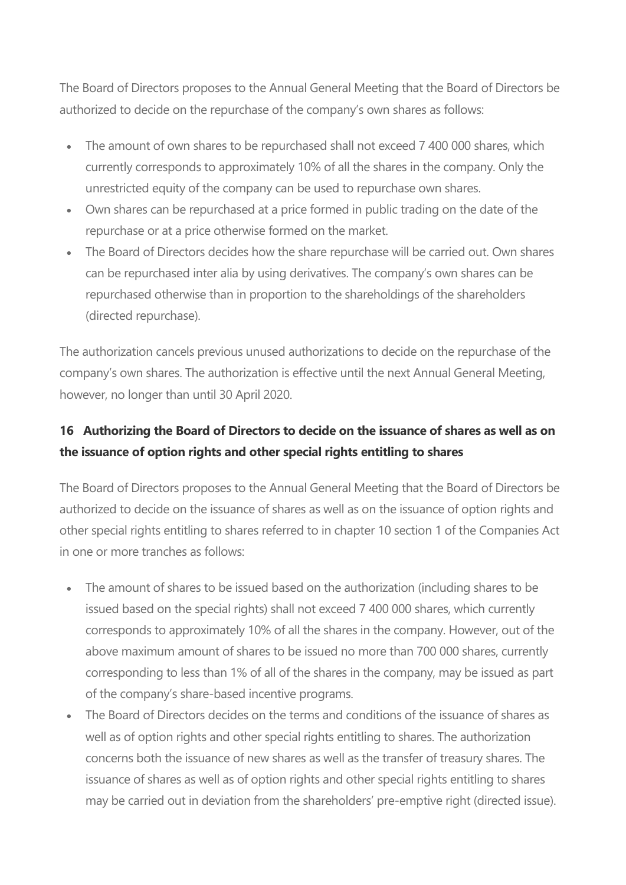The Board of Directors proposes to the Annual General Meeting that the Board of Directors be authorized to decide on the repurchase of the company's own shares as follows:

- The amount of own shares to be repurchased shall not exceed 7 400 000 shares, which currently corresponds to approximately 10% of all the shares in the company. Only the unrestricted equity of the company can be used to repurchase own shares.
- Own shares can be repurchased at a price formed in public trading on the date of the repurchase or at a price otherwise formed on the market.
- The Board of Directors decides how the share repurchase will be carried out. Own shares can be repurchased inter alia by using derivatives. The company's own shares can be repurchased otherwise than in proportion to the shareholdings of the shareholders (directed repurchase).

The authorization cancels previous unused authorizations to decide on the repurchase of the company's own shares. The authorization is effective until the next Annual General Meeting, however, no longer than until 30 April 2020.

# **16 Authorizing the Board of Directors to decide on the issuance of shares as well as on the issuance of option rights and other special rights entitling to shares**

The Board of Directors proposes to the Annual General Meeting that the Board of Directors be authorized to decide on the issuance of shares as well as on the issuance of option rights and other special rights entitling to shares referred to in chapter 10 section 1 of the Companies Act in one or more tranches as follows:

- The amount of shares to be issued based on the authorization (including shares to be issued based on the special rights) shall not exceed 7 400 000 shares, which currently corresponds to approximately 10% of all the shares in the company. However, out of the above maximum amount of shares to be issued no more than 700 000 shares, currently corresponding to less than 1% of all of the shares in the company, may be issued as part of the company's share-based incentive programs.
- The Board of Directors decides on the terms and conditions of the issuance of shares as well as of option rights and other special rights entitling to shares. The authorization concerns both the issuance of new shares as well as the transfer of treasury shares. The issuance of shares as well as of option rights and other special rights entitling to shares may be carried out in deviation from the shareholders' pre-emptive right (directed issue).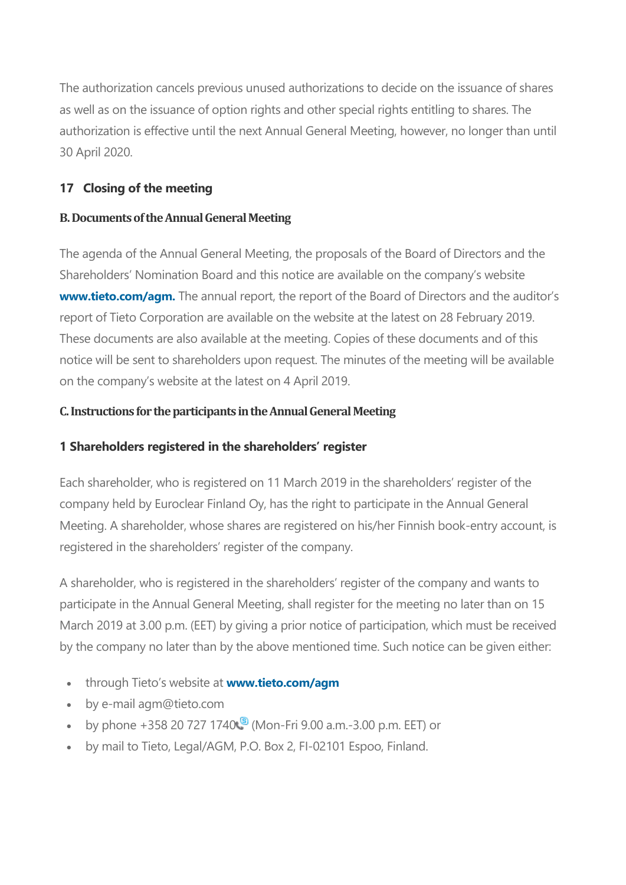The authorization cancels previous unused authorizations to decide on the issuance of shares as well as on the issuance of option rights and other special rights entitling to shares. The authorization is effective until the next Annual General Meeting, however, no longer than until 30 April 2020.

# **17 Closing of the meeting**

### **B. Documents of the Annual General Meeting**

The agenda of the Annual General Meeting, the proposals of the Board of Directors and the Shareholders' Nomination Board and this notice are available on the company's website **[www.tieto.com/agm.](https://bit.ly/2RM5ZeO)** The annual report, the report of the Board of Directors and the auditor's report of Tieto Corporation are available on the website at the latest on 28 February 2019. These documents are also available at the meeting. Copies of these documents and of this notice will be sent to shareholders upon request. The minutes of the meeting will be available on the company's website at the latest on 4 April 2019.

### **C. Instructions for the participants in the Annual General Meeting**

## **1 Shareholders registered in the shareholders' register**

Each shareholder, who is registered on 11 March 2019 in the shareholders' register of the company held by Euroclear Finland Oy, has the right to participate in the Annual General Meeting. A shareholder, whose shares are registered on his/her Finnish book-entry account, is registered in the shareholders' register of the company.

A shareholder, who is registered in the shareholders' register of the company and wants to participate in the Annual General Meeting, shall register for the meeting no later than on 15 March 2019 at 3.00 p.m. (EET) by giving a prior notice of participation, which must be received by the company no later than by the above mentioned time. Such notice can be given either:

- through Tieto's website at **[www.tieto.com/agm](https://bit.ly/2RM5ZeO)**
- by e-mail agm@tieto.com
- by phone +358 2[0](https://www.tieto.com/en/investor-relations/governance/annual-general-meetings/annual-general-meeting-2019/) 727 1740 $\binom{8}{3}$  (Mon-Fri 9.00 a.m. -3.00 p.m. EET) or
- by mail to Tieto, Legal/AGM, P.O. Box 2, FI-02101 Espoo, Finland.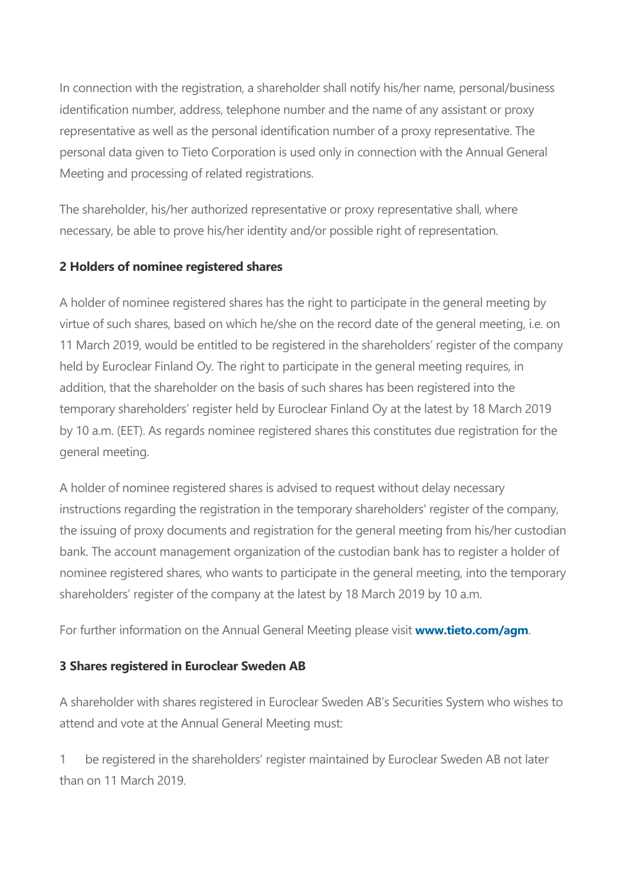In connection with the registration, a shareholder shall notify his/her name, personal/business identification number, address, telephone number and the name of any assistant or proxy representative as well as the personal identification number of a proxy representative. The personal data given to Tieto Corporation is used only in connection with the Annual General Meeting and processing of related registrations.

The shareholder, his/her authorized representative or proxy representative shall, where necessary, be able to prove his/her identity and/or possible right of representation.

## **2 Holders of nominee registered shares**

A holder of nominee registered shares has the right to participate in the general meeting by virtue of such shares, based on which he/she on the record date of the general meeting, i.e. on 11 March 2019, would be entitled to be registered in the shareholders' register of the company held by Euroclear Finland Oy. The right to participate in the general meeting requires, in addition, that the shareholder on the basis of such shares has been registered into the temporary shareholders' register held by Euroclear Finland Oy at the latest by 18 March 2019 by 10 a.m. (EET). As regards nominee registered shares this constitutes due registration for the general meeting.

A holder of nominee registered shares is advised to request without delay necessary instructions regarding the registration in the temporary shareholders' register of the company, the issuing of proxy documents and registration for the general meeting from his/her custodian bank. The account management organization of the custodian bank has to register a holder of nominee registered shares, who wants to participate in the general meeting, into the temporary shareholders' register of the company at the latest by 18 March 2019 by 10 a.m.

For further information on the Annual General Meeting please visit **[www.tieto.com/agm](https://bit.ly/2RM5ZeO)**.

# **3 Shares registered in Euroclear Sweden AB**

A shareholder with shares registered in Euroclear Sweden AB's Securities System who wishes to attend and vote at the Annual General Meeting must:

1 be registered in the shareholders' register maintained by Euroclear Sweden AB not later than on 11 March 2019.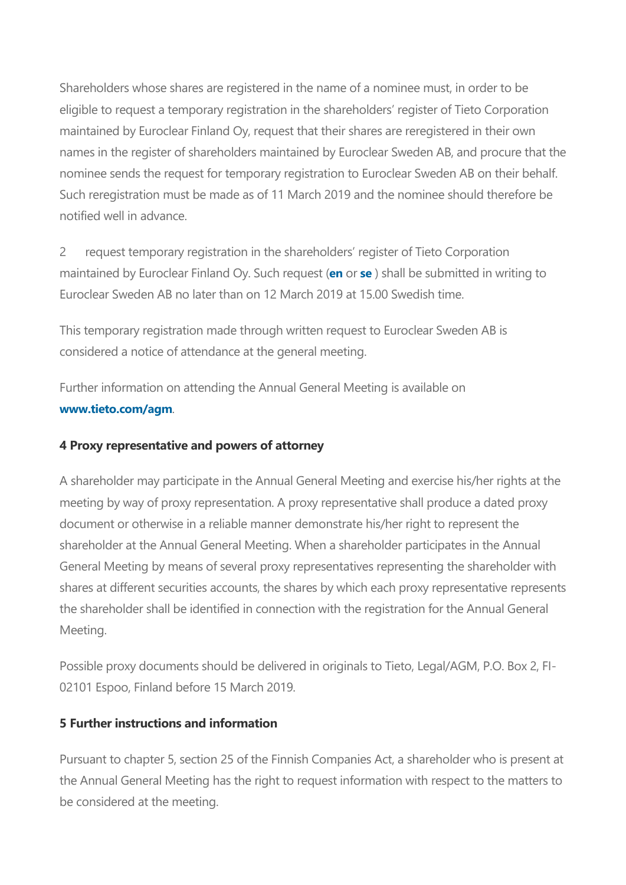Shareholders whose shares are registered in the name of a nominee must, in order to be eligible to request a temporary registration in the shareholders' register of Tieto Corporation maintained by Euroclear Finland Oy, request that their shares are reregistered in their own names in the register of shareholders maintained by Euroclear Sweden AB, and procure that the nominee sends the request for temporary registration to Euroclear Sweden AB on their behalf. Such reregistration must be made as of 11 March 2019 and the nominee should therefore be notified well in advance.

2 request temporary registration in the shareholders' register of Tieto Corporation maintained by Euroclear Finland Oy. Such request (**[en](https://www.tieto.com/globalassets/files/investor-relations/2019/euroclear-sweden-form-en-2019.docx)** or **[se](https://www.tieto.com/globalassets/files/investor-relations/2019/euroclear-sweden-form-se-2019.docx)** ) shall be submitted in writing to Euroclear Sweden AB no later than on 12 March 2019 at 15.00 Swedish time.

This temporary registration made through written request to Euroclear Sweden AB is considered a notice of attendance at the general meeting.

Further information on attending the Annual General Meeting is available on **[www.tieto.com/agm](https://bit.ly/2RM5ZeO)**.

#### **4 Proxy representative and powers of attorney**

A shareholder may participate in the Annual General Meeting and exercise his/her rights at the meeting by way of proxy representation. A proxy representative shall produce a dated proxy document or otherwise in a reliable manner demonstrate his/her right to represent the shareholder at the Annual General Meeting. When a shareholder participates in the Annual General Meeting by means of several proxy representatives representing the shareholder with shares at different securities accounts, the shares by which each proxy representative represents the shareholder shall be identified in connection with the registration for the Annual General Meeting.

Possible proxy documents should be delivered in originals to Tieto, Legal/AGM, P.O. Box 2, FI-02101 Espoo, Finland before 15 March 2019.

## **5 Further instructions and information**

Pursuant to chapter 5, section 25 of the Finnish Companies Act, a shareholder who is present at the Annual General Meeting has the right to request information with respect to the matters to be considered at the meeting.